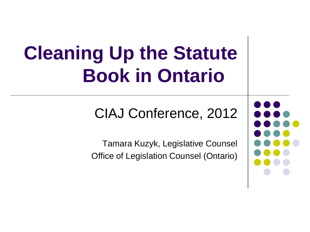# **Cleaning Up the Statute Book in Ontario**

#### CIAJ Conference, 2012

Tamara Kuzyk, Legislative Counsel Office of Legislation Counsel (Ontario)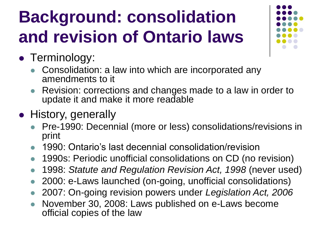### **Background: consolidation and revision of Ontario laws**



- Terminology:
	- Consolidation: a law into which are incorporated any amendments to it
	- Revision: corrections and changes made to a law in order to update it and make it more readable
- History, generally
	- Pre-1990: Decennial (more or less) consolidations/revisions in print
	- 1990: Ontario's last decennial consolidation/revision
	- 1990s: Periodic unofficial consolidations on CD (no revision)
	- 1998: *Statute and Regulation Revision Act, 1998* (never used)
	- 2000: e-Laws launched (on-going, unofficial consolidations)
	- 2007: On-going revision powers under *Legislation Act, 2006*
	- November 30, 2008: Laws published on e-Laws become official copies of the law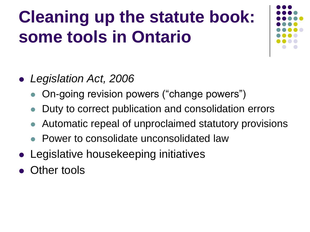### **Cleaning up the statute book: some tools in Ontario**



- *Legislation Act, 2006*
	- On-going revision powers ("change powers")
	- Duty to correct publication and consolidation errors
	- Automatic repeal of unproclaimed statutory provisions
	- Power to consolidate unconsolidated law
- Legislative housekeeping initiatives
- Other tools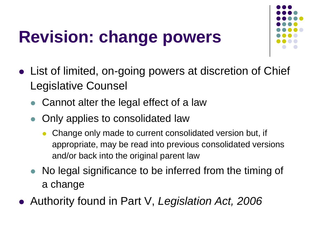### **Revision: change powers**



- List of limited, on-going powers at discretion of Chief Legislative Counsel
	- Cannot alter the legal effect of a law
	- Only applies to consolidated law
		- Change only made to current consolidated version but, if appropriate, may be read into previous consolidated versions and/or back into the original parent law
	- No legal significance to be inferred from the timing of a change
- Authority found in Part V, *Legislation Act, 2006*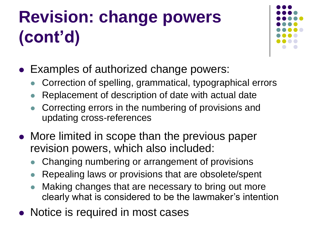## **Revision: change powers (cont'd)**



- Examples of authorized change powers:
	- Correction of spelling, grammatical, typographical errors
	- Replacement of description of date with actual date
	- Correcting errors in the numbering of provisions and updating cross-references
- More limited in scope than the previous paper revision powers, which also included:
	- Changing numbering or arrangement of provisions
	- Repealing laws or provisions that are obsolete/spent
	- Making changes that are necessary to bring out more clearly what is considered to be the lawmaker's intention
- Notice is required in most cases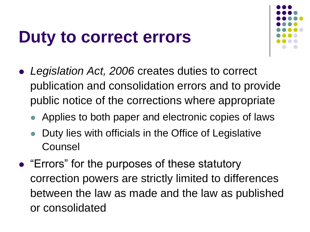#### **Duty to correct errors**



- *Legislation Act, 2006* creates duties to correct publication and consolidation errors and to provide public notice of the corrections where appropriate
	- Applies to both paper and electronic copies of laws
	- Duty lies with officials in the Office of Legislative Counsel
- "Errors" for the purposes of these statutory correction powers are strictly limited to differences between the law as made and the law as published or consolidated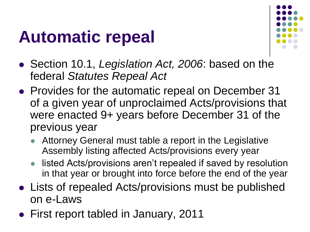#### **Automatic repeal**



- Section 10.1, *Legislation Act, 2006*: based on the federal *Statutes Repeal Act*
- Provides for the automatic repeal on December 31 of a given year of unproclaimed Acts/provisions that were enacted 9+ years before December 31 of the previous year
	- Attorney General must table a report in the Legislative Assembly listing affected Acts/provisions every year
	- listed Acts/provisions aren't repealed if saved by resolution in that year or brought into force before the end of the year
- Lists of repealed Acts/provisions must be published on e-Laws
- First report tabled in January, 2011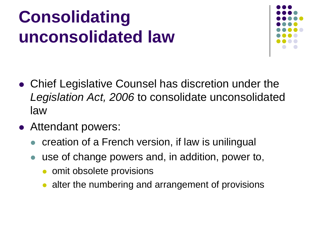### **Consolidating unconsolidated law**



- Chief Legislative Counsel has discretion under the *Legislation Act, 2006* to consolidate unconsolidated law
- Attendant powers:
	- creation of a French version, if law is unilingual
	- use of change powers and, in addition, power to,
		- omit obsolete provisions
		- alter the numbering and arrangement of provisions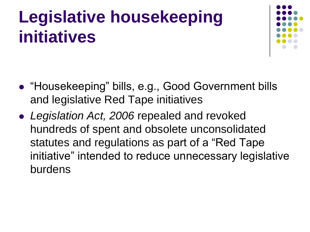### **Legislative housekeeping initiatives**



- "Housekeeping" bills, e.g., Good Government bills and legislative Red Tape initiatives
- *Legislation Act, 2006* repealed and revoked hundreds of spent and obsolete unconsolidated statutes and regulations as part of a "Red Tape initiative" intended to reduce unnecessary legislative burdens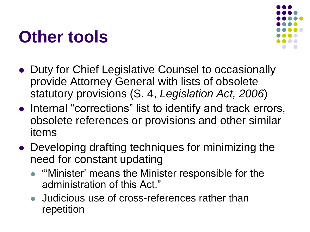#### **Other tools**



- Duty for Chief Legislative Counsel to occasionally provide Attorney General with lists of obsolete statutory provisions (S. 4, *Legislation Act, 2006*)
- Internal "corrections" list to identify and track errors, obsolete references or provisions and other similar items
- Developing drafting techniques for minimizing the need for constant updating
	- "Minister' means the Minister responsible for the administration of this Act."
	- Judicious use of cross-references rather than repetition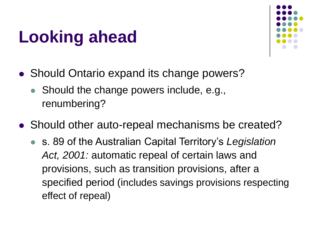### **Looking ahead**



- Should Ontario expand its change powers?
	- Should the change powers include, e.g., renumbering?
- Should other auto-repeal mechanisms be created?
	- s. 89 of the Australian Capital Territory's *Legislation*  Act, 2001: automatic repeal of certain laws and provisions, such as transition provisions, after a specified period (includes savings provisions respecting effect of repeal)